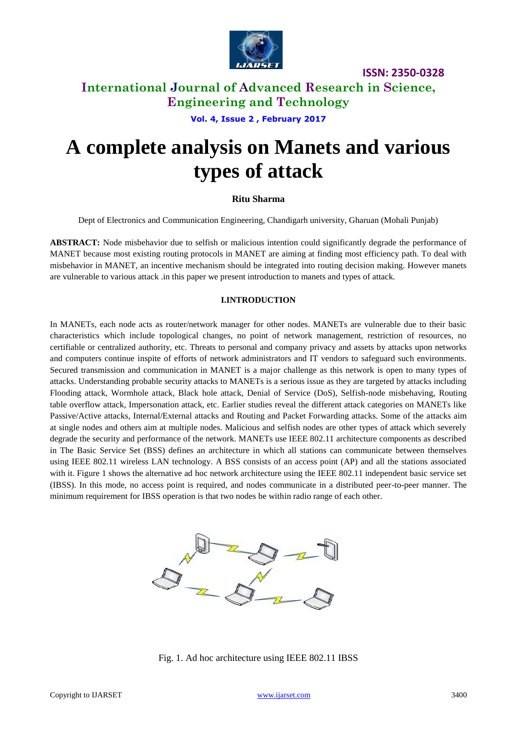

### **International Journal of Advanced Research in Science, Engineering and Technology**

**Vol. 4, Issue 2 , February 2017**

# **A complete analysis on Manets and various types of attack**

### **Ritu Sharma**

Dept of Electronics and Communication Engineering, Chandigarh university, Gharuan (Mohali Punjab)

**ABSTRACT:** Node misbehavior due to selfish or malicious intention could significantly degrade the performance of MANET because most existing routing protocols in MANET are aiming at finding most efficiency path. To deal with misbehavior in MANET, an incentive mechanism should be integrated into routing decision making. However manets are vulnerable to various attack .in this paper we present introduction to manets and types of attack.

### **I.INTRODUCTION**

In MANETs, each node acts as router/network manager for other nodes. MANETs are vulnerable due to their basic characteristics which include topological changes, no point of network management, restriction of resources, no certifiable or centralized authority, etc. Threats to personal and company privacy and assets by attacks upon networks and computers continue inspite of efforts of network administrators and IT vendors to safeguard such environments. Secured transmission and communication in MANET is a major challenge as this network is open to many types of attacks. Understanding probable security attacks to MANETs is a serious issue as they are targeted by attacks including Flooding attack, Wormhole attack, Black hole attack, Denial of Service (DoS), Selfish-node misbehaving, Routing table overflow attack, Impersonation attack, etc. Earlier studies reveal the different attack categories on MANETs like Passive/Active attacks, Internal/External attacks and Routing and Packet Forwarding attacks. Some of the attacks aim at single nodes and others aim at multiple nodes. Malicious and selfish nodes are other types of attack which severely degrade the security and performance of the network. MANETs use IEEE 802.11 architecture components as described in The Basic Service Set (BSS) defines an architecture in which all stations can communicate between themselves using IEEE 802.11 wireless LAN technology. A BSS consists of an access point (AP) and all the stations associated with it. Figure 1 shows the alternative ad hoc network architecture using the IEEE 802.11 independent basic service set (IBSS). In this mode, no access point is required, and nodes communicate in a distributed peer-to-peer manner. The minimum requirement for IBSS operation is that two nodes be within radio range of each other.



Fig. 1. Ad hoc architecture using IEEE 802.11 IBSS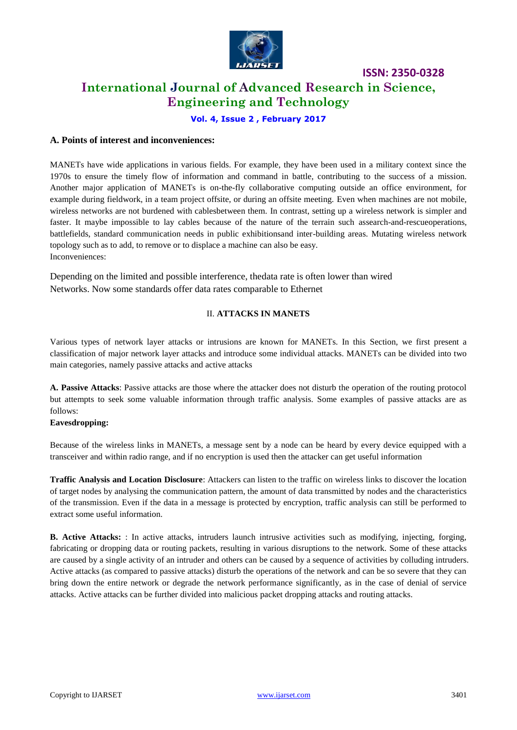

## **International Journal of Advanced Research in Science, Engineering and Technology**

**Vol. 4, Issue 2 , February 2017**

### **A. Points of interest and inconveniences:**

MANETs have wide applications in various fields. For example, they have been used in a military context since the 1970s to ensure the timely flow of information and command in battle, contributing to the success of a mission. Another major application of MANETs is on-the-fly collaborative computing outside an office environment, for example during fieldwork, in a team project offsite, or during an offsite meeting. Even when machines are not mobile, wireless networks are not burdened with cablesbetween them. In contrast, setting up a wireless network is simpler and faster. It maybe impossible to lay cables because of the nature of the terrain such assearch-and-rescueoperations, battlefields, standard communication needs in public exhibitionsand inter-building areas. Mutating wireless network topology such as to add, to remove or to displace a machine can also be easy. Inconveniences:

Depending on the limited and possible interference, thedata rate is often lower than wired Networks. Now some standards offer data rates comparable to Ethernet

### II. **ATTACKS IN MANETS**

Various types of network layer attacks or intrusions are known for MANETs. In this Section, we first present a classification of major network layer attacks and introduce some individual attacks. MANETs can be divided into two main categories, namely passive attacks and active attacks

**A. Passive Attacks**: Passive attacks are those where the attacker does not disturb the operation of the routing protocol but attempts to seek some valuable information through traffic analysis. Some examples of passive attacks are as follows:

### **Eavesdropping:**

Because of the wireless links in MANETs, a message sent by a node can be heard by every device equipped with a transceiver and within radio range, and if no encryption is used then the attacker can get useful information

**Traffic Analysis and Location Disclosure**: Attackers can listen to the traffic on wireless links to discover the location of target nodes by analysing the communication pattern, the amount of data transmitted by nodes and the characteristics of the transmission. Even if the data in a message is protected by encryption, traffic analysis can still be performed to extract some useful information.

**B. Active Attacks:** : In active attacks, intruders launch intrusive activities such as modifying, injecting, forging, fabricating or dropping data or routing packets, resulting in various disruptions to the network. Some of these attacks are caused by a single activity of an intruder and others can be caused by a sequence of activities by colluding intruders. Active attacks (as compared to passive attacks) disturb the operations of the network and can be so severe that they can bring down the entire network or degrade the network performance significantly, as in the case of denial of service attacks. Active attacks can be further divided into malicious packet dropping attacks and routing attacks.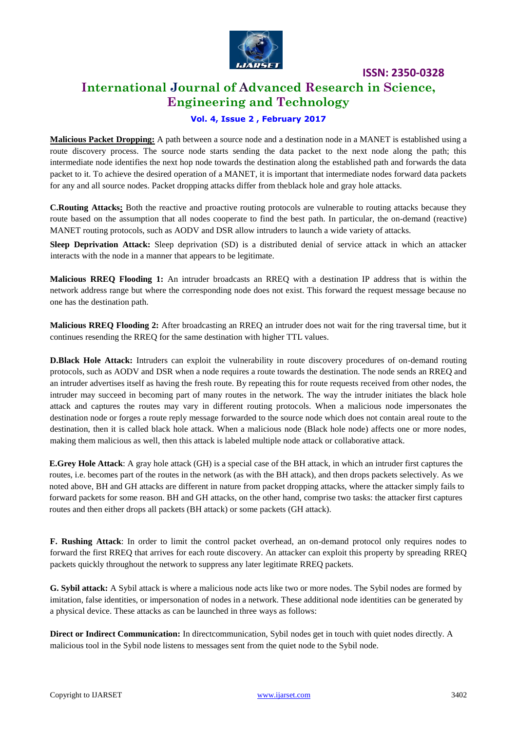

# **International Journal of Advanced Research in Science, Engineering and Technology**

### **Vol. 4, Issue 2 , February 2017**

**Malicious Packet Dropping:** A path between a source node and a destination node in a MANET is established using a route discovery process. The source node starts sending the data packet to the next node along the path; this intermediate node identifies the next hop node towards the destination along the established path and forwards the data packet to it. To achieve the desired operation of a MANET, it is important that intermediate nodes forward data packets for any and all source nodes. Packet dropping attacks differ from theblack hole and gray hole attacks.

**C.Routing Attacks:** Both the reactive and proactive routing protocols are vulnerable to routing attacks because they route based on the assumption that all nodes cooperate to find the best path. In particular, the on-demand (reactive) MANET routing protocols, such as AODV and DSR allow intruders to launch a wide variety of attacks.

**Sleep Deprivation Attack:** Sleep deprivation (SD) is a distributed denial of service attack in which an attacker interacts with the node in a manner that appears to be legitimate.

**Malicious RREQ Flooding 1:** An intruder broadcasts an RREQ with a destination IP address that is within the network address range but where the corresponding node does not exist. This forward the request message because no one has the destination path.

**Malicious RREQ Flooding 2:** After broadcasting an RREQ an intruder does not wait for the ring traversal time, but it continues resending the RREQ for the same destination with higher TTL values.

**D.Black Hole Attack:** Intruders can exploit the vulnerability in route discovery procedures of on-demand routing protocols, such as AODV and DSR when a node requires a route towards the destination. The node sends an RREQ and an intruder advertises itself as having the fresh route. By repeating this for route requests received from other nodes, the intruder may succeed in becoming part of many routes in the network. The way the intruder initiates the black hole attack and captures the routes may vary in different routing protocols. When a malicious node impersonates the destination node or forges a route reply message forwarded to the source node which does not contain areal route to the destination, then it is called black hole attack. When a malicious node (Black hole node) affects one or more nodes, making them malicious as well, then this attack is labeled multiple node attack or collaborative attack.

**E.Grey Hole Attack**: A gray hole attack (GH) is a special case of the BH attack, in which an intruder first captures the routes, i.e. becomes part of the routes in the network (as with the BH attack), and then drops packets selectively. As we noted above, BH and GH attacks are different in nature from packet dropping attacks, where the attacker simply fails to forward packets for some reason. BH and GH attacks, on the other hand, comprise two tasks: the attacker first captures routes and then either drops all packets (BH attack) or some packets (GH attack).

**F. Rushing Attack**: In order to limit the control packet overhead, an on-demand protocol only requires nodes to forward the first RREQ that arrives for each route discovery. An attacker can exploit this property by spreading RREQ packets quickly throughout the network to suppress any later legitimate RREQ packets.

**G. Sybil attack:** A Sybil attack is where a malicious node acts like two or more nodes. The Sybil nodes are formed by imitation, false identities, or impersonation of nodes in a network. These additional node identities can be generated by a physical device. These attacks as can be launched in three ways as follows:

**Direct or Indirect Communication:** In directcommunication, Sybil nodes get in touch with quiet nodes directly. A malicious tool in the Sybil node listens to messages sent from the quiet node to the Sybil node.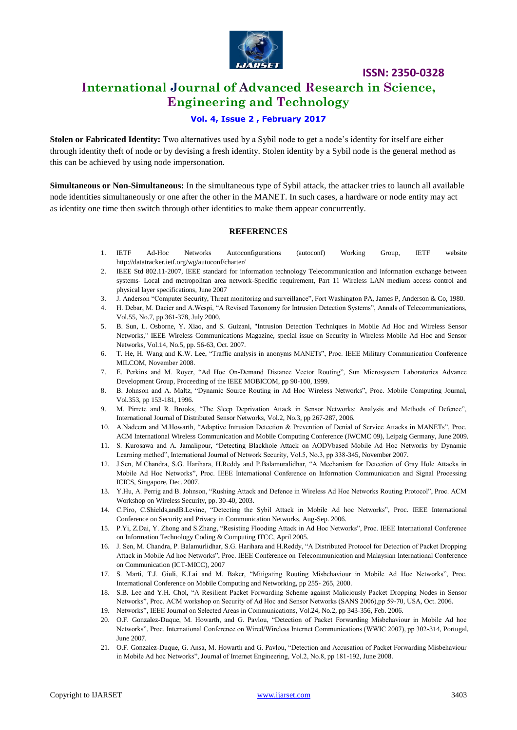

# **International Journal of Advanced Research in Science, Engineering and Technology**

### **Vol. 4, Issue 2 , February 2017**

**Stolen or Fabricated Identity:** Two alternatives used by a Sybil node to get a node's identity for itself are either through identity theft of node or by devising a fresh identity. Stolen identity by a Sybil node is the general method as this can be achieved by using node impersonation.

**Simultaneous or Non-Simultaneous:** In the simultaneous type of Sybil attack, the attacker tries to launch all available node identities simultaneously or one after the other in the MANET. In such cases, a hardware or node entity may act as identity one time then switch through other identities to make them appear concurrently.

### **REFERENCES**

- 1. IETF Ad-Hoc Networks Autoconfigurations (autoconf) Working Group, IETF website <http://datatracker.ietf.org/wg/autoconf/charter/>
- 2. IEEE Std 802.11-2007, IEEE standard for information technology Telecommunication and information exchange between systems- Local and metropolitan area network-Specific requirement, Part 11 Wireless LAN medium access control and physical layer specifications, June 2007
- 3. J. Anderson "Computer Security, Threat monitoring and surveillance", Fort Washington PA, James P, Anderson & Co, 1980.
- 4. H. Debar, M. Dacier and A.Wespi, "A Revised Taxonomy for Intrusion Detection Systems", Annals of Telecommunications, Vol.55, No.7, pp 361-378, July 2000.
- 5. B. Sun, L. Osborne, Y. Xiao, and S. Guizani, "Intrusion Detection Techniques in Mobile Ad Hoc and Wireless Sensor Networks," IEEE Wireless Communications Magazine, special issue on Security in Wireless Mobile Ad Hoc and Sensor Networks, Vol.14, No.5, pp. 56-63, Oct. 2007.
- 6. T. He, H. Wang and K.W. Lee, "Traffic analysis in anonyms MANETs", Proc. IEEE Military Communication Conference MILCOM, November 2008.
- 7. E. Perkins and M. Royer, "Ad Hoc On-Demand Distance Vector Routing", Sun Microsystem Laboratories Advance Development Group, Proceeding of the IEEE MOBICOM, pp 90-100, 1999.
- 8. B. Johnson and A. Maltz, "Dynamic Source Routing in Ad Hoc Wireless Networks", Proc. Mobile Computing Journal, Vol.353, pp 153-181, 1996.
- 9. M. Pirrete and R. Brooks, "The Sleep Deprivation Attack in Sensor Networks: Analysis and Methods of Defence", International Journal of Distributed Sensor Networks, Vol.2, No.3, pp 267-287, 2006.
- 10. A.Nadeem and M.Howarth, "Adaptive Intrusion Detection & Prevention of Denial of Service Attacks in MANETs", Proc. ACM International Wireless Communication and Mobile Computing Conference (IWCMC 09), Leipzig Germany, June 2009.
- 11. S. Kurosawa and A. Jamalipour, "Detecting Blackhole Attack on AODVbased Mobile Ad Hoc Networks by Dynamic Learning method", International Journal of Network Security, Vol.5, No.3, pp 338-345, November 2007.
- 12. J.Sen, M.Chandra, S.G. Harihara, H.Reddy and P.Balamuralidhar, "A Mechanism for Detection of Gray Hole Attacks in Mobile Ad Hoc Networks", Proc. IEEE International Conference on Information Communication and Signal Processing ICICS, Singapore, Dec. 2007.
- 13. Y.Hu, A. Perrig and B. Johnson, "Rushing Attack and Defence in Wireless Ad Hoc Networks Routing Protocol", Proc. ACM Workshop on Wireless Security, pp. 30-40, 2003.
- 14. C.Piro, C.Shields,andB.Levine, "Detecting the Sybil Attack in Mobile Ad hoc Networks", Proc. IEEE International Conference on Security and Privacy in Communication Networks, Aug-Sep. 2006.
- 15. P.Yi, Z.Dai, Y. Zhong and S.Zhang, "Resisting Flooding Attack in Ad Hoc Networks", Proc. IEEE International Conference on Information Technology Coding & Computing ITCC, April 2005.
- 16. J. Sen, M. Chandra, P. Balamurlidhar, S.G. Harihara and H.Reddy, "A Distributed Protocol for Detection of Packet Dropping Attack in Mobile Ad hoc Networks", Proc. IEEE Conference on Telecommunication and Malaysian International Conference on Communication (ICT-MICC), 2007
- 17. S. Marti, T.J. Giuli, K.Lai and M. Baker, "Mitigating Routing Misbehaviour in Mobile Ad Hoc Networks", Proc. International Conference on Mobile Computing and Networking, pp 255- 265, 2000.
- 18. S.B. Lee and Y.H. Choi, "A Resilient Packet Forwarding Scheme against Maliciously Packet Dropping Nodes in Sensor Networks", Proc. ACM workshop on Security of Ad Hoc and Sensor Networks (SANS 2006),pp 59-70, USA, Oct. 2006.
- 19. Networks", IEEE Journal on Selected Areas in Communications, Vol.24, No.2, pp 343-356, Feb. 2006.
- 20. O.F. Gonzalez-Duque, M. Howarth, and G. Pavlou, "Detection of Packet Forwarding Misbehaviour in Mobile Ad hoc Networks", Proc. International Conference on Wired/Wireless Internet Communications (WWIC 2007), pp 302-314, Portugal, June 2007.
- 21. O.F. Gonzalez-Duque, G. Ansa, M. Howarth and G. Pavlou, "Detection and Accusation of Packet Forwarding Misbehaviour in Mobile Ad hoc Networks", Journal of Internet Engineering, Vol.2, No.8, pp 181-192, June 2008.